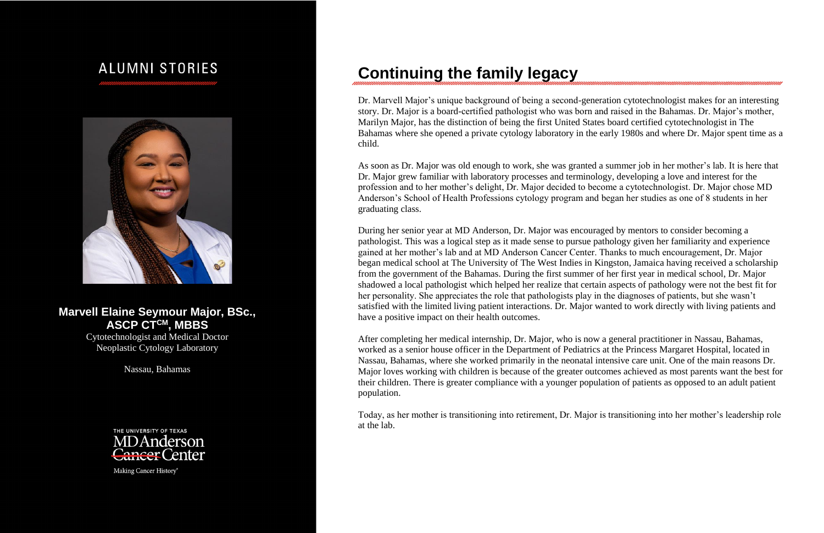# **Continuing the family legacy**

Dr. Marvell Major's unique background of being a second-generation cytotechnologist makes for an interesting story. Dr. Major is a board-certified pathologist who was born and raised in the Bahamas. Dr. Major's mother, Marilyn Major, has the distinction of being the first United States board certified cytotechnologist in The Bahamas where she opened a private cytology laboratory in the early 1980s and where Dr. Major spent time as a child.

As soon as Dr. Major was old enough to work, she was granted a summer job in her mother's lab. It is here that Dr. Major grew familiar with laboratory processes and terminology, developing a love and interest for the profession and to her mother's delight, Dr. Major decided to become a cytotechnologist. Dr. Major chose MD Anderson's School of Health Professions cytology program and began her studies as one of 8 students in her graduating class.

During her senior year at MD Anderson, Dr. Major was encouraged by mentors to consider becoming a pathologist. This was a logical step as it made sense to pursue pathology given her familiarity and experience gained at her mother's lab and at MD Anderson Cancer Center. Thanks to much encouragement, Dr. Major began medical school at The University of The West Indies in Kingston, Jamaica having received a scholarship from the government of the Bahamas. During the first summer of her first year in medical school, Dr. Major shadowed a local pathologist which helped her realize that certain aspects of pathology were not the best fit for her personality. She appreciates the role that pathologists play in the diagnoses of patients, but she wasn't satisfied with the limited living patient interactions. Dr. Major wanted to work directly with living patients and have a positive impact on their health outcomes.

After completing her medical internship, Dr. Major, who is now a general practitioner in Nassau, Bahamas, worked as a senior house officer in the Department of Pediatrics at the Princess Margaret Hospital, located in Nassau, Bahamas, where she worked primarily in the neonatal intensive care unit. One of the main reasons Dr. Major loves working with children is because of the greater outcomes achieved as most parents want the best for their children. There is greater compliance with a younger population of patients as opposed to an adult patient population.

Today, as her mother is transitioning into retirement, Dr. Major is transitioning into her mother's leadership role at the lab.

# **ALUMNI STORIES**



# **Marvell Elaine Seymour Major, BSc., ASCP CTCM , MBBS**

Cytotechnologist and Medical Doctor Neoplastic Cytology Laboratory

Nassau, Bahamas



Making Cancer History®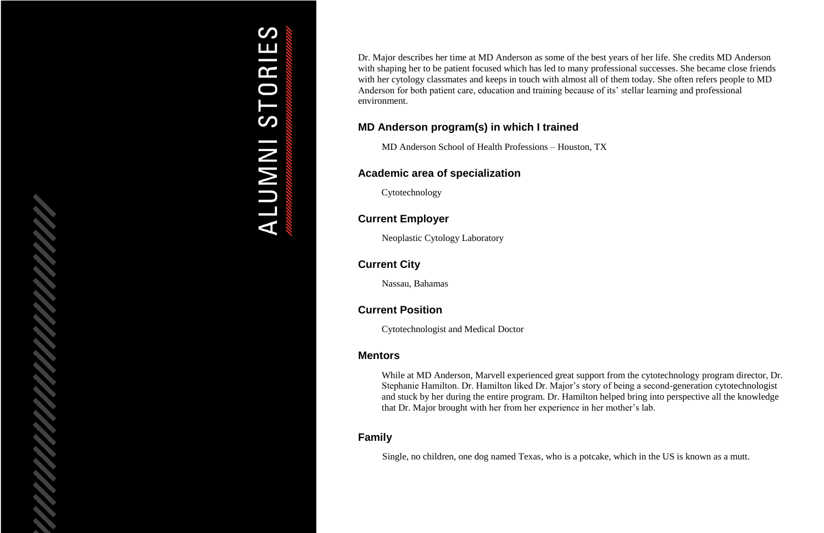S ALUMNI STORIE

Dr. Major describes her time at MD Anderson as some of the best years of her life. She credits MD Anderson with shaping her to be patient focused which has led to many professional successes. She became close friends with her cytology classmates and keeps in touch with almost all of them today. She often refers people to MD Anderson for both patient care, education and training because of its' stellar learning and professional environment.

## **MD Anderson program(s) in which I trained**

MD Anderson School of Health Professions – Houston, TX

### **Academic area of specialization**

Cytotechnology

### **Current Employer**

Neoplastic Cytology Laboratory

### **Current City**

Nassau, Bahamas

### **Current Position**

Cytotechnologist and Medical Doctor

### **Mentors**

While at MD Anderson, Marvell experienced great support from the cytotechnology program director, Dr. Stephanie Hamilton. Dr. Hamilton liked Dr. Major's story of being a second-generation cytotechnologist and stuck by her during the entire program. Dr. Hamilton helped bring into perspective all the knowledge that Dr. Major brought with her from her experience in her mother's lab.

### **Family**

Single, no children, one dog named Texas, who is a potcake, which in the US is known as a mutt.